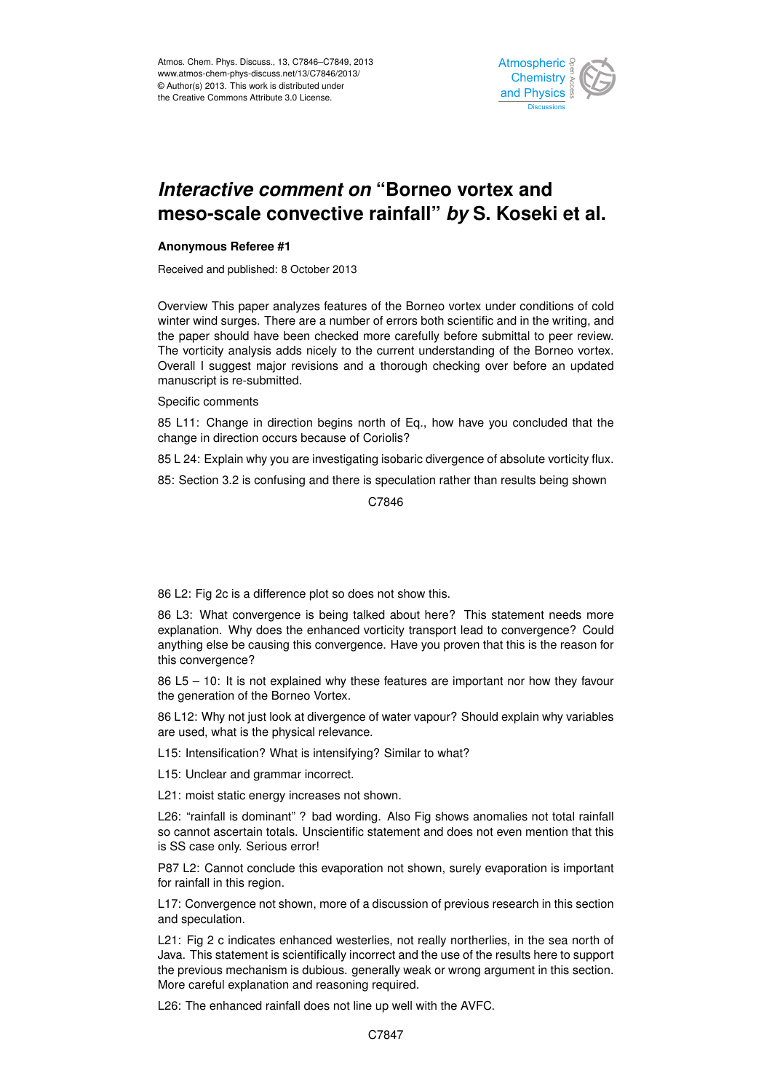

## merasing comment on Domoc reflex and<br>meso-scale convective rainfall" *by* S. Koseki et al. م<br>م .<br>و *Interactive comment on* "Borneo vortex and

## **Anonymous Referee #1**

Received and published: 8 October 2013

Overview This paper analyzes learnes of the Borneo vortex ander conditions of cold<br>winter wind surges. There are a number of errors both scientific and in the writing, and which wild surges. There are a number of errors board scientific and in the whang, and<br>the paper should have been checked more carefully before submittal to peer review. ot<br>O s<br>ti<br>r Overview This paper analyzes features of the Borneo vortex under conditions of cold Overall I suggest major revisions and a thorough checking over before an updated Instrumentation  $\frac{1}{2}$  $\overline{a}$ The vorticity analysis adds nicely to the current understanding of the Borneo vortex. manuscript is re-submitted.

## Specific comments

85 L11: Change in direction begins north of Eq., how have you concluded that the change in direction occurs because of Coriolis? .<br>ون .<br>ic Geoscientific

ment and continue to the control of a second the vor 85 L 24: Explain why you are investigating isobaric divergence of absolute vorticity flux.

Hydrology and 85: Section 3.2 is confusing and there is speculation rather than results being shown

Hydrology and Earth System  $\mathfrak{p}$ C.7846

86 L2: Fig 2c is a difference plot so does not show this.

s being talked about here: This statement her<br>enhanced vorticity transport lead to convergence e<br>or<br>ce d<br>Pe explanation. Why does the enhanced vorticity transport lead to convergence? Could 86 L3: What convergence is being talked about here? This statement needs more anything else be causing this convergence. Have you proven that this is the reason for this convergence?

86 L5 – 10: It is not explained why these features are important nor how they favour<br>the assessition of the Perman Vartau e e) the generation of the Borneo Vortex.

86 L12: Why not just look at divergence of water vapour? Should explain why variables are used, what is the physical relevance.

L15: Intensification? What is intensifying? Similar to what?

L15: Unclear and grammar incorrect.

L21: moist static energy increases not shown.

L26: "rainfall is dominant" ? bad wording. Also Fig shows anomalies not total rainfall so cannot ascertain totals. Unscientific statement and does not even mention that this is SS case only. Serious error!

P87 L2: Cannot conclude this evaporation not shown, surely evaporation is important for rainfall in this region.

L17: Convergence not shown, more of a discussion of previous research in this section and speculation.

L21: Fig 2 c indicates enhanced westerlies, not really northerlies, in the sea north of Java. This statement is scientifically incorrect and the use of the results here to support the previous mechanism is dubious. generally weak or wrong argument in this section. More careful explanation and reasoning required.

L26: The enhanced rainfall does not line up well with the AVFC.